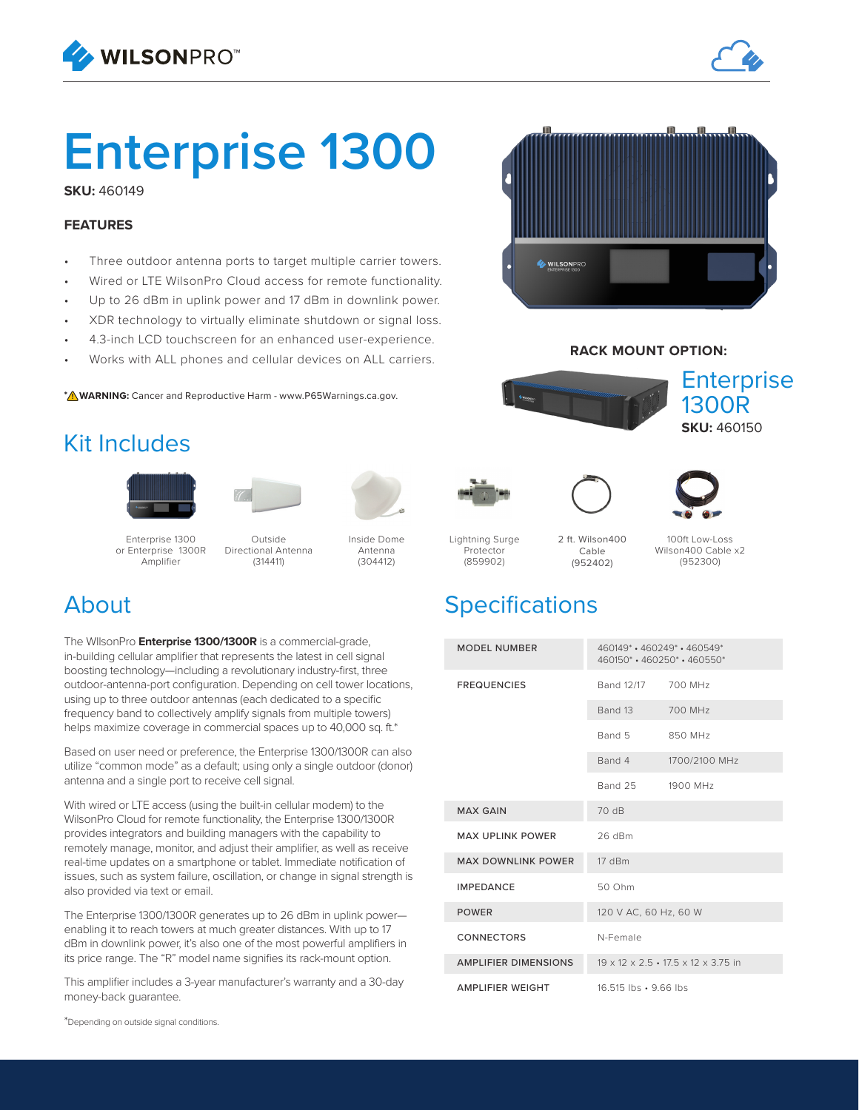



# **Enterprise 1300**

**SKU:** 460149

#### **FEATURES**

- Three outdoor antenna ports to target multiple carrier towers.
- Wired or LTE WilsonPro Cloud access for remote functionality.
- Up to 26 dBm in uplink power and 17 dBm in downlink power.
- XDR technology to virtually eliminate shutdown or signal loss.
- 4.3-inch LCD touchscreen for an enhanced user-experience.
- Works with ALL phones and cellular devices on ALL carriers.

**\* /\ WARNING:** Cancer and Reproductive Harm - www.P65Warnings.ca.gov.

## Kit Includes







Enterprise 1300 or Enterprise 1300R Amplifier

Outside Directional Antenna (314411)

Inside Dome Antenna (304412)

## About

The WIlsonPro **Enterprise 1300/1300R** is a commercial-grade, in-building cellular amplifier that represents the latest in cell signal boosting technology—including a revolutionary industry-first, three outdoor-antenna-port configuration. Depending on cell tower locations, using up to three outdoor antennas (each dedicated to a specific frequency band to collectively amplify signals from multiple towers) helps maximize coverage in commercial spaces up to 40,000 sq. ft.\*

Based on user need or preference, the Enterprise 1300/1300R can also utilize "common mode" as a default; using only a single outdoor (donor) antenna and a single port to receive cell signal.

With wired or LTE access (using the built-in cellular modem) to the WilsonPro Cloud for remote functionality, the Enterprise 1300/1300R provides integrators and building managers with the capability to remotely manage, monitor, and adjust their amplifier, as well as receive real-time updates on a smartphone or tablet. Immediate notification of issues, such as system failure, oscillation, or change in signal strength is also provided via text or email.

The Enterprise 1300/1300R generates up to 26 dBm in uplink power enabling it to reach towers at much greater distances. With up to 17 dBm in downlink power, it's also one of the most powerful amplifiers in its price range. The "R" model name signifies its rack-mount option.

This amplifier includes a 3-year manufacturer's warranty and a 30-day money-back guarantee.

\*Depending on outside signal conditions.



#### **RACK MOUNT OPTION:**







Lightning Surge Protector (859902) 2 ft. Wilson400 (952402)

Cable

100ft Low-Loss Wilson400 Cable x2 (952300)

## **Specifications**

| <b>MODEL NUMBER</b>         | 460149* · 460249* · 460549*<br>460150 *. 460250 *. 460550 *   |               |  |  |
|-----------------------------|---------------------------------------------------------------|---------------|--|--|
| <b>FREQUENCIES</b>          | Band 12/17 700 MHz                                            |               |  |  |
|                             | Band 13                                                       | 700 MHz       |  |  |
|                             | Band 5                                                        | 850 MHz       |  |  |
|                             | Band 4                                                        | 1700/2100 MHz |  |  |
|                             | Band 25                                                       | 1900 MHz      |  |  |
| <b>MAX GAIN</b>             | 70 dB                                                         |               |  |  |
| <b>MAX UPLINK POWER</b>     | 26 dBm                                                        |               |  |  |
| <b>MAX DOWNLINK POWER</b>   | 17dBm                                                         |               |  |  |
| <b>IMPEDANCE</b>            | 50 Ohm                                                        |               |  |  |
| <b>POWER</b>                | 120 V AC, 60 Hz, 60 W                                         |               |  |  |
| <b>CONNECTORS</b>           | N-Female                                                      |               |  |  |
| <b>AMPLIFIER DIMENSIONS</b> | $19 \times 12 \times 2.5 \cdot 17.5 \times 12 \times 3.75$ in |               |  |  |
| <b>AMPLIFIER WEIGHT</b>     | 16.515 lbs • 9.66 lbs                                         |               |  |  |